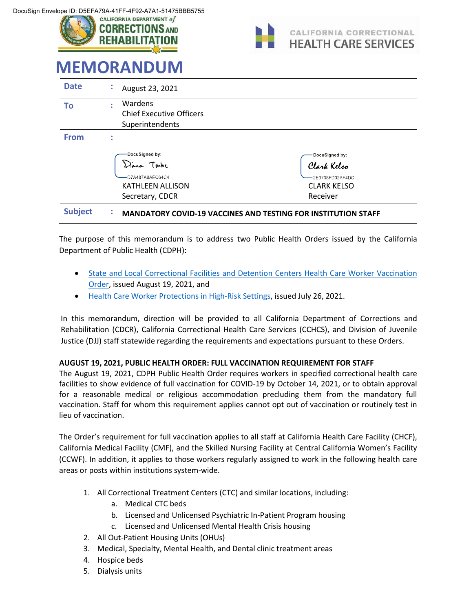



# **MEMORANDUM**

| <b>Date</b>    | ÷         | August 23, 2021                                                                               |                                                                                    |
|----------------|-----------|-----------------------------------------------------------------------------------------------|------------------------------------------------------------------------------------|
| Τo             | $\bullet$ | Wardens<br><b>Chief Executive Officers</b><br>Superintendents                                 |                                                                                    |
| <b>From</b>    | ٠<br>٠    |                                                                                               |                                                                                    |
|                |           | DocuSigned by:<br>Dana Toche<br>D7A487A8AEC64C4<br><b>KATHLEEN ALLISON</b><br>Secretary, CDCR | DocuSigned by:<br>Clark Kelsa<br>2E3708FD02AF4DC<br><b>CLARK KELSO</b><br>Receiver |
| <b>Subject</b> | $\bullet$ | <b>MANDATORY COVID-19 VACCINES AND TESTING FOR INSTITUTION STAFF</b>                          |                                                                                    |

The purpose of this memorandum is to address two Public Health Orders issued by the California Department of Public Health (CDPH):

- [State and Local Correctional Facilities and Detention Centers Health Care Worker Vaccination](https://www.cdph.ca.gov/Programs/CID/DCDC/Pages/COVID-19/Order-of-the-State-Public-Health-Officer-Correctional-Facilities-and-Detention-Centers-Health-Care-Worker-Vaccination-Order.aspx)  [Order,](https://www.cdph.ca.gov/Programs/CID/DCDC/Pages/COVID-19/Order-of-the-State-Public-Health-Officer-Correctional-Facilities-and-Detention-Centers-Health-Care-Worker-Vaccination-Order.aspx) issued August 19, 2021, and
- [Health Care Worker Protections in High-Risk Settings,](https://www.cdph.ca.gov/Programs/CID/DCDC/Pages/COVID-19/Order-of-the-State-Public-Health-Officer-Unvaccinated-Workers-In-High-Risk-Settings.aspx) issued July 26, 2021.

In this memorandum, direction will be provided to all California Department of Corrections and Rehabilitation (CDCR), California Correctional Health Care Services (CCHCS), and Division of Juvenile Justice (DJJ) staff statewide regarding the requirements and expectations pursuant to these Orders.

## **AUGUST 19, 2021, PUBLIC HEALTH ORDER: FULL VACCINATION REQUIREMENT FOR STAFF**

The August 19, 2021, CDPH Public Health Order requires workers in specified correctional health care facilities to show evidence of full vaccination for COVID-19 by October 14, 2021, or to obtain approval for a reasonable medical or religious accommodation precluding them from the mandatory full vaccination. Staff for whom this requirement applies cannot opt out of vaccination or routinely test in lieu of vaccination.

The Order's requirement for full vaccination applies to all staff at California Health Care Facility (CHCF), California Medical Facility (CMF), and the Skilled Nursing Facility at Central California Women's Facility (CCWF). In addition, it applies to those workers regularly assigned to work in the following health care areas or posts within institutions system-wide.

- 1. All Correctional Treatment Centers (CTC) and similar locations, including:
	- a. Medical CTC beds
	- b. Licensed and Unlicensed Psychiatric In-Patient Program housing
	- c. Licensed and Unlicensed Mental Health Crisis housing
- 2. All Out-Patient Housing Units (OHUs)
- 3. Medical, Specialty, Mental Health, and Dental clinic treatment areas
- 4. Hospice beds
- 5. Dialysis units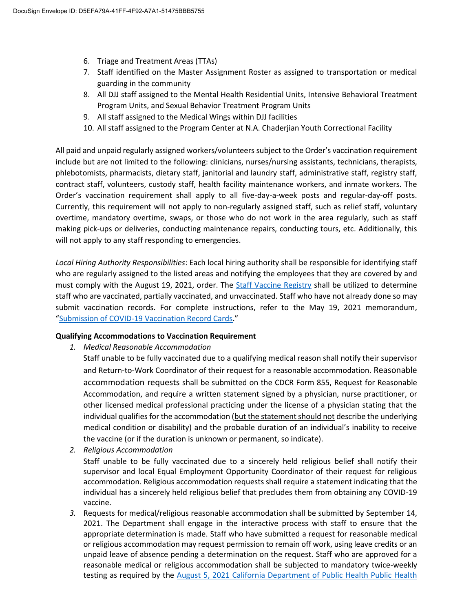- 6. Triage and Treatment Areas (TTAs)
- 7. Staff identified on the Master Assignment Roster as assigned to transportation or medical guarding in the community
- 8. All DJJ staff assigned to the Mental Health Residential Units, Intensive Behavioral Treatment Program Units, and Sexual Behavior Treatment Program Units
- 9. All staff assigned to the Medical Wings within DJJ facilities
- 10. All staff assigned to the Program Center at N.A. Chaderjian Youth Correctional Facility

All paid and unpaid regularly assigned workers/volunteers subject to the Order's vaccination requirement include but are not limited to the following: clinicians, nurses/nursing assistants, technicians, therapists, phlebotomists, pharmacists, dietary staff, janitorial and laundry staff, administrative staff, registry staff, contract staff, volunteers, custody staff, health facility maintenance workers, and inmate workers. The Order's vaccination requirement shall apply to all five-day-a-week posts and regular-day-off posts. Currently, this requirement will not apply to non-regularly assigned staff, such as relief staff, voluntary overtime, mandatory overtime, swaps, or those who do not work in the area regularly, such as staff making pick-ups or deliveries, conducting maintenance repairs, conducting tours, etc. Additionally, this will not apply to any staff responding to emergencies.

*Local Hiring Authority Responsibilities*: Each local hiring authority shall be responsible for identifying staff who are regularly assigned to the listed areas and notifying the employees that they are covered by and must comply with the August 19, 2021, order. The [Staff Vaccine Registry](http://qmtools/Reports/report/QM/Employee%20Health/COVIDVaccineStaff) shall be utilized to determine staff who are vaccinated, partially vaccinated, and unvaccinated. Staff who have not already done so may submit vaccination records. For complete instructions, refer to the May 19, 2021 memorandum, "[Submission of COVID-19 Vaccination Record Cards](http://lifeline/HealthCareOperations/MedicalServices/PublicHealth/Coronavirus/SubmissionCOVID-19VacRecordCardMemo.pdf)."

#### **Qualifying Accommodations to Vaccination Requirement**

*1. Medical Reasonable Accommodation*

Staff unable to be fully vaccinated due to a qualifying medical reason shall notify their supervisor and Return-to-Work Coordinator of their request for a reasonable accommodation. Reasonable accommodation requests shall be submitted on the CDCR Form 855, Request for Reasonable Accommodation, and require a written statement signed by a physician, nurse practitioner, or other licensed medical professional practicing under the license of a physician stating that the individual qualifies for the accommodation (but the statement should not describe the underlying medical condition or disability) and the probable duration of an individual's inability to receive the vaccine (or if the duration is unknown or permanent, so indicate).

*2. Religious Accommodation*

Staff unable to be fully vaccinated due to a sincerely held religious belief shall notify their supervisor and local Equal Employment Opportunity Coordinator of their request for religious accommodation. Religious accommodation requests shall require a statement indicating that the individual has a sincerely held religious belief that precludes them from obtaining any COVID-19 vaccine.

*3.* Requests for medical/religious reasonable accommodation shall be submitted by September 14, 2021. The Department shall engage in the interactive process with staff to ensure that the appropriate determination is made. Staff who have submitted a request for reasonable medical or religious accommodation may request permission to remain off work, using leave credits or an unpaid leave of absence pending a determination on the request. Staff who are approved for a reasonable medical or religious accommodation shall be subjected to mandatory twice-weekly testing as required by the [August 5, 2021 California Department of Public Health Public Health](https://www.cdph.ca.gov/Programs/CID/DCDC/Pages/COVID-19/Order-of-the-State-Public-Health-Officer-Health-Care-Worker-Vaccine-Requirement.aspx)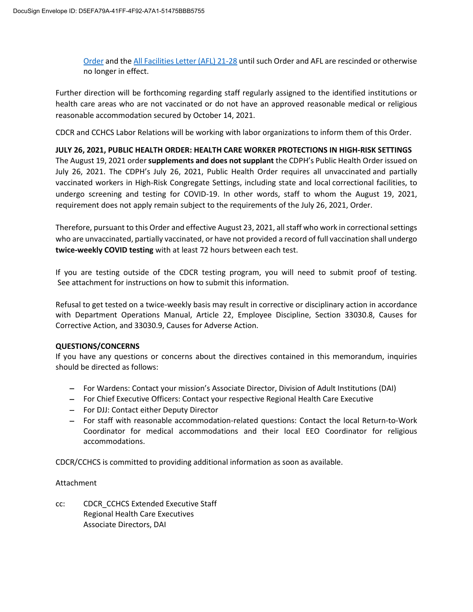[Order](https://www.cdph.ca.gov/Programs/CID/DCDC/Pages/COVID-19/Order-of-the-State-Public-Health-Officer-Health-Care-Worker-Vaccine-Requirement.aspx) and the [All Facilities Letter \(AFL\) 21-28](https://www.cdph.ca.gov/Programs/CHCQ/LCP/Pages/AFL-21-28.aspx) until such Order and AFL are rescinded or otherwise no longer in effect.

Further direction will be forthcoming regarding staff regularly assigned to the identified institutions or health care areas who are not vaccinated or do not have an approved reasonable medical or religious reasonable accommodation secured by October 14, 2021.

CDCR and CCHCS Labor Relations will be working with labor organizations to inform them of this Order.

**JULY 26, 2021, PUBLIC HEALTH ORDER: HEALTH CARE WORKER PROTECTIONS IN HIGH-RISK SETTINGS** The August 19, 2021 order **supplements and does not supplant** the CDPH's Public Health Order issued on July 26, 2021. The CDPH's July 26, 2021, Public Health Order requires all unvaccinated and partially vaccinated workers in High-Risk Congregate Settings, including state and local correctional facilities, to undergo screening and testing for COVID-19. In other words, staff to whom the August 19, 2021, requirement does not apply remain subject to the requirements of the July 26, 2021, Order.

Therefore, pursuant to this Order and effective August 23, 2021, all staff who work in correctional settings who are unvaccinated, partially vaccinated, or have not provided a record of full vaccination shall undergo **twice-weekly COVID testing** with at least 72 hours between each test.

If you are testing outside of the CDCR testing program, you will need to submit proof of testing. See attachment for instructions on how to submit this information.

Refusal to get tested on a twice-weekly basis may result in corrective or disciplinary action in accordance with Department Operations Manual, Article 22, Employee Discipline, Section 33030.8, Causes for Corrective Action, and 33030.9, Causes for Adverse Action.

#### **QUESTIONS/CONCERNS**

If you have any questions or concerns about the directives contained in this memorandum, inquiries should be directed as follows:

- For Wardens: Contact your mission's Associate Director, Division of Adult Institutions (DAI)
- For Chief Executive Officers: Contact your respective Regional Health Care Executive
- For DJJ: Contact either Deputy Director
- For staff with reasonable accommodation-related questions: Contact the local Return-to-Work Coordinator for medical accommodations and their local EEO Coordinator for religious accommodations.

CDCR/CCHCS is committed to providing additional information as soon as available.

#### Attachment

cc: CDCR\_CCHCS Extended Executive Staff Regional Health Care Executives Associate Directors, DAI